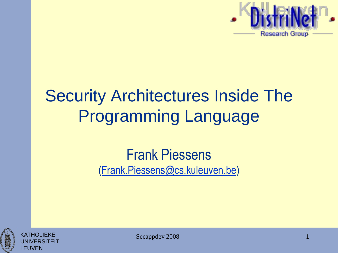

## Security Architectures Inside The Programming Language

#### Frank Piessens [\(Frank.Piessens@cs.kuleuven.be\)](mailto:Frank.Piessens@cs.kuleuven.be)





Secappdev 2008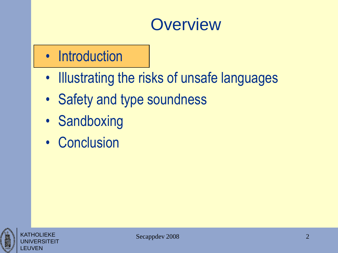#### **Overview**

#### • Introduction

- Illustrating the risks of unsafe languages
- Safety and type soundness
- Sandboxing
- Conclusion



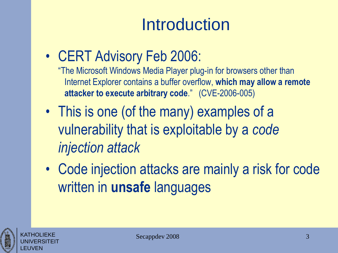# **Introduction**

• CERT Advisory Feb 2006:

"The Microsoft Windows Media Player plug-in for browsers other than Internet Explorer contains a buffer overflow, **which may allow a remote attacker to execute arbitrary code**." (CVE-2006-005)

- This is one (of the many) examples of a vulnerability that is exploitable by a *code injection attack*
- Code injection attacks are mainly a risk for code written in **unsafe** languages

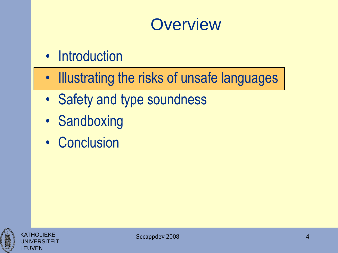#### **Overview**

- Introduction
- Illustrating the risks of unsafe languages
- Safety and type soundness
- Sandboxing
- Conclusion



**KATHOLIFKF** UNIVERSITEIT

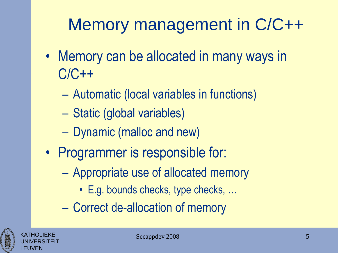# Memory management in C/C++

- Memory can be allocated in many ways in C/C++
	- Automatic (local variables in functions)
	- Static (global variables)
	- Dynamic (malloc and new)
- Programmer is responsible for:
	- Appropriate use of allocated memory
		- E.g. bounds checks, type checks, …
	- Correct de-allocation of memory



KATHOLIEKE UNIVERSITEIT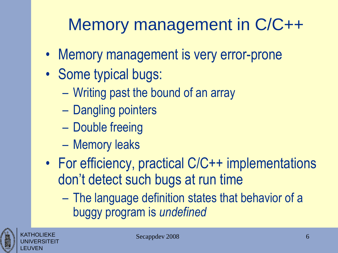# Memory management in C/C++

- Memory management is very error-prone
- Some typical bugs:
	- Writing past the bound of an array
	- Dangling pointers
	- Double freeing
	- Memory leaks
- For efficiency, practical C/C++ implementations don't detect such bugs at run time
	- The language definition states that behavior of a buggy program is *undefined*



KATHOLIEKE UNIVERSITEIT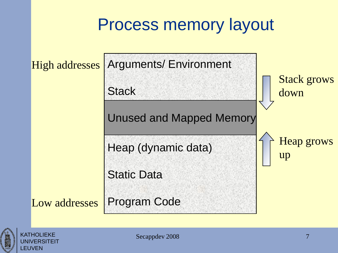#### Process memory layout



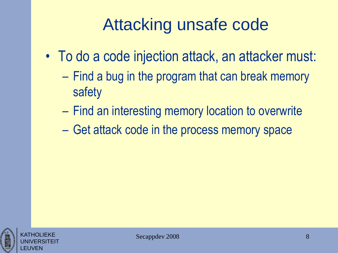# Attacking unsafe code

- To do a code injection attack, an attacker must:
	- Find a bug in the program that can break memory safety
	- Find an interesting memory location to overwrite
	- Get attack code in the process memory space



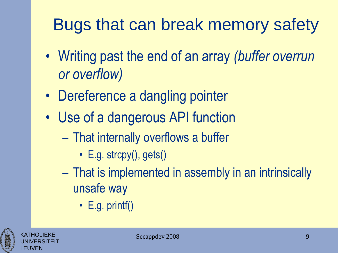# Bugs that can break memory safety

- Writing past the end of an array *(buffer overrun or overflow)*
- Dereference a dangling pointer
- Use of a dangerous API function
	- That internally overflows a buffer
		- E.g. strcpy $()$ , gets $()$
	- That is implemented in assembly in an intrinsically unsafe way
		- E.g. printf()



KATHOLIEKE UNIVERSITEIT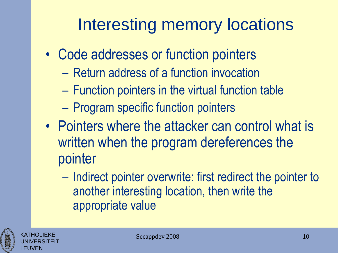# Interesting memory locations

- Code addresses or function pointers
	- Return address of a function invocation
	- Function pointers in the virtual function table
	- Program specific function pointers
- Pointers where the attacker can control what is written when the program dereferences the pointer
	- Indirect pointer overwrite: first redirect the pointer to another interesting location, then write the appropriate value



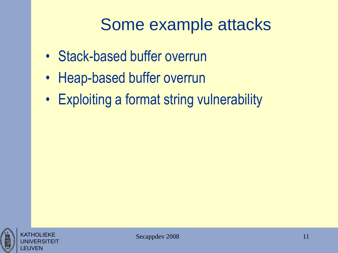#### Some example attacks

- Stack-based buffer overrun
- Heap-based buffer overrun
- Exploiting a format string vulnerability



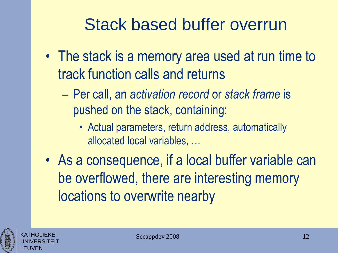- The stack is a memory area used at run time to track function calls and returns
	- Per call, an *activation record* or *stack frame* is pushed on the stack, containing:
		- Actual parameters, return address, automatically allocated local variables, …
- As a consequence, if a local buffer variable can be overflowed, there are interesting memory locations to overwrite nearby



KATHOLIEKE UNIVERSITEIT

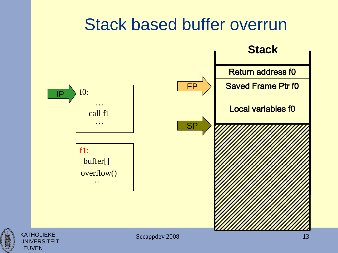

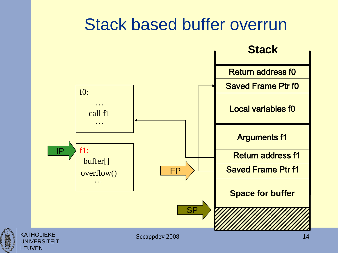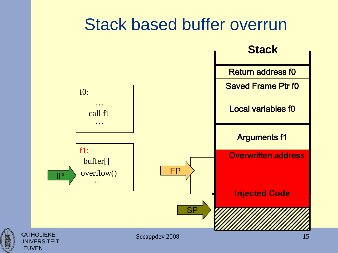

UNIVERSITEIT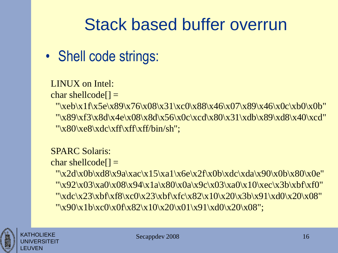#### • Shell code strings:

#### LINUX on Intel:

char shellcode $[] =$ 

"\xeb\x1f\x5e\x89\x76\x08\x31\xc0\x88\x46\x07\x89\x46\x0c\xb0\x0b" "\x89\xf3\x8d\x4e\x08\x8d\x56\x0c\xcd\x80\x31\xdb\x89\xd8\x40\xcd"  $"\x80\xe8\xdc\xf\xf\xf\xf\binom{bh'}{sh''};$ 

#### SPARC Solaris:

char shellcode $[] =$ 

"\x2d\x0b\xd8\x9a\xac\x15\xa1\x6e\x2f\x0b\xdc\xda\x90\x0b\x80\x0e" "\x92\x03\xa0\x08\x94\x1a\x80\x0a\x9c\x03\xa0\x10\xec\x3b\xbf\xf0" "\xdc\x23\xbf\xf8\xc0\x23\xbf\xfc\x82\x10\x20\x3b\x91\xd0\x20\x08" "\x90\x1b\xc0\x0f\x82\x10\x20\x01\x91\xd0\x20\x08";



KATHOI IFKF

LEUVEN

FRSITFIT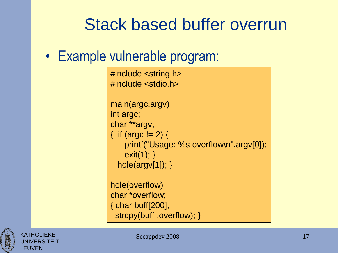#### • Example vulnerable program:

#include <string.h> #include <stdio.h>

```
main(argc,argv)
int argc;
char **argv;
{ if (argc != 2) {
    printf("Usage: %s overflow\n",argv[0]);
   exit(1); \}hole(argv[1]); }
```
hole(overflow) char \*overflow; { char buff[200]; strcpy(buff ,overflow); }

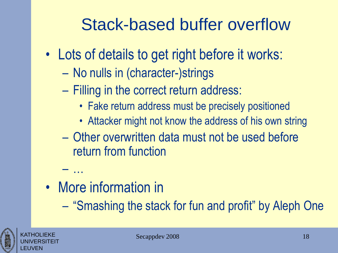# Stack-based buffer overflow

- Lots of details to get right before it works:
	- No nulls in (character-)strings
	- Filling in the correct return address:
		- Fake return address must be precisely positioned
		- Attacker might not know the address of his own string
	- Other overwritten data must not be used before return from function
- More information in

– …

– "Smashing the stack for fun and profit" by Aleph One



KATHOLIEKE UNIVERSITEIT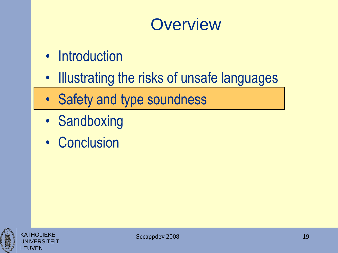#### **Overview**

- Introduction
- Illustrating the risks of unsafe languages
- Safety and type soundness
- Sandboxing
- Conclusion



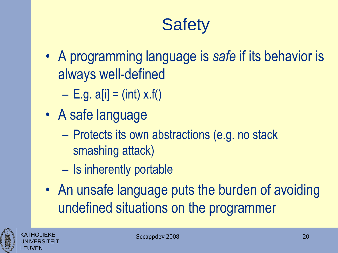# **Safety**

- A programming language is *safe* if its behavior is always well-defined
	- $-$  E.g. a[i] = (int) x.f()
- A safe language
	- Protects its own abstractions (e.g. no stack smashing attack)
	- Is inherently portable
- An unsafe language puts the burden of avoiding undefined situations on the programmer



KATHOLIEKE UNIVERSITEIT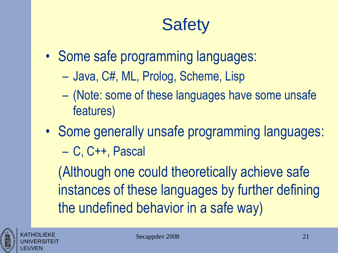# **Safety**

- Some safe programming languages:
	- Java, C#, ML, Prolog, Scheme, Lisp
	- (Note: some of these languages have some unsafe features)
- Some generally unsafe programming languages: – C, C++, Pascal

(Although one could theoretically achieve safe instances of these languages by further defining the undefined behavior in a safe way)

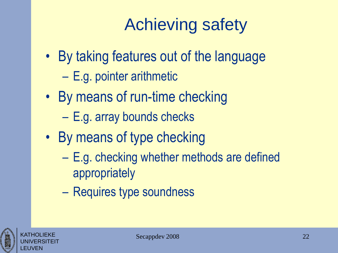# Achieving safety

- By taking features out of the language
	- E.g. pointer arithmetic
- By means of run-time checking
	- E.g. array bounds checks
- By means of type checking
	- E.g. checking whether methods are defined appropriately
	- Requires type soundness

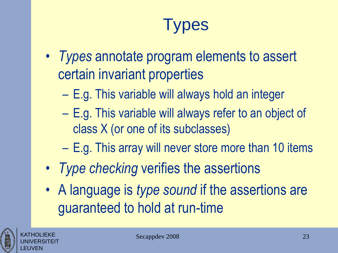# **Types**

- *Types* annotate program elements to assert certain invariant properties
	- E.g. This variable will always hold an integer
	- E.g. This variable will always refer to an object of class X (or one of its subclasses)
	- E.g. This array will never store more than 10 items
- *Type checking* verifies the assertions
- A language is *type sound* if the assertions are guaranteed to hold at run-time

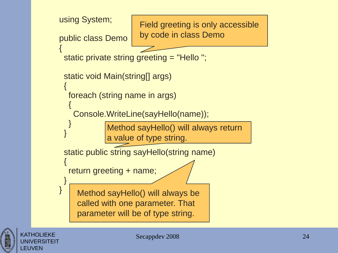

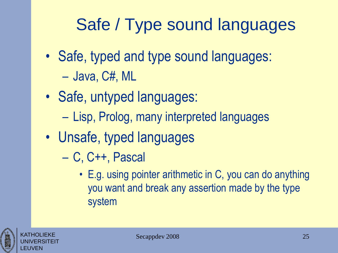# Safe / Type sound languages

- Safe, typed and type sound languages: – Java, C#, ML
- Safe, untyped languages:
	- Lisp, Prolog, many interpreted languages
- Unsafe, typed languages
	- C, C++, Pascal
		- E.g. using pointer arithmetic in C, you can do anything you want and break any assertion made by the type system

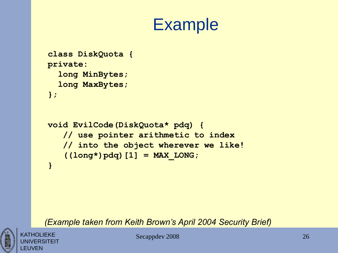#### Example

```
class DiskQuota {
private:
  long MinBytes;
  long MaxBytes;
};
```

```
void EvilCode(DiskQuota* pdq) {
   // use pointer arithmetic to index
   // into the object wherever we like!
   ((long*)pdq)[1] = MAX_LONG;
}
```
*(Example taken from Keith Brown's April 2004 Security Brief)*

KATHOLIFKF **NIVERSITEIT** LEUVEN

Secappdev 2008 26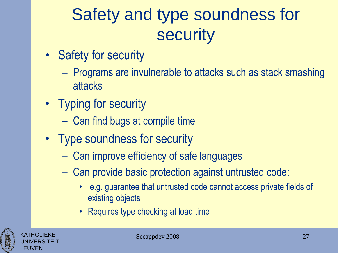# Safety and type soundness for **security**

- Safety for security
	- Programs are invulnerable to attacks such as stack smashing attacks
- Typing for security
	- Can find bugs at compile time
- Type soundness for security
	- Can improve efficiency of safe languages
	- Can provide basic protection against untrusted code:
		- e.g. guarantee that untrusted code cannot access private fields of existing objects
		- Requires type checking at load time



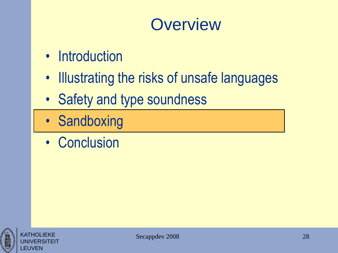#### **Overview**

- Introduction
- Illustrating the risks of unsafe languages
- Safety and type soundness
- Sandboxing
- Conclusion



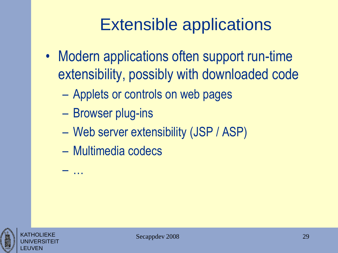## Extensible applications

- Modern applications often support run-time extensibility, possibly with downloaded code
	- Applets or controls on web pages
	- Browser plug-ins
	- Web server extensibility (JSP / ASP)
	- Multimedia codecs

– …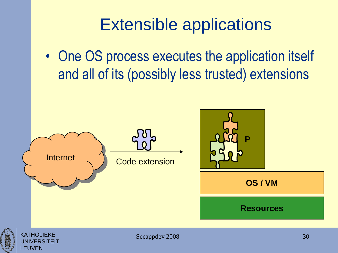#### Extensible applications

• One OS process executes the application itself and all of its (possibly less trusted) extensions

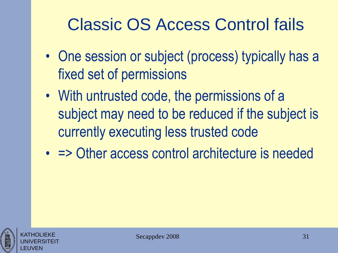## Classic OS Access Control fails

- One session or subject (process) typically has a fixed set of permissions
- With untrusted code, the permissions of a subject may need to be reduced if the subject is currently executing less trusted code
- = > Other access control architecture is needed



KATHOLIEKE UNIVERSITEIT

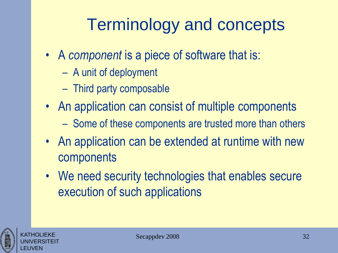# Terminology and concepts

- A *component* is a piece of software that is:
	- A unit of deployment
	- Third party composable
- An application can consist of multiple components
	- Some of these components are trusted more than others
- An application can be extended at runtime with new components
- We need security technologies that enables secure execution of such applications



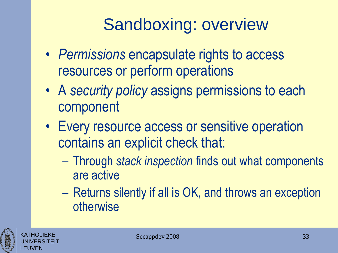# Sandboxing: overview

- *Permissions* encapsulate rights to access resources or perform operations
- A *security policy* assigns permissions to each component
- Every resource access or sensitive operation contains an explicit check that:
	- Through *stack inspection* finds out what components are active
	- Returns silently if all is OK, and throws an exception otherwise



KATHOLIEKE UNIVERSITEIT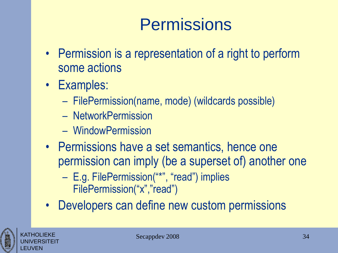# **Permissions**

- Permission is a representation of a right to perform some actions
- Examples:
	- FilePermission(name, mode) (wildcards possible)
	- NetworkPermission
	- WindowPermission
- Permissions have a set semantics, hence one permission can imply (be a superset of) another one
	- E.g. FilePermission("\*", "read") implies FilePermission("x","read")
- Developers can define new custom permissions



KATHOLIEKE UNIVERSITEIT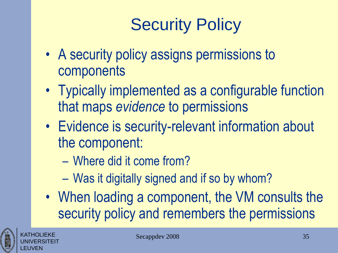# Security Policy

- A security policy assigns permissions to components
- Typically implemented as a configurable function that maps *evidence* to permissions
- Evidence is security-relevant information about the component:
	- Where did it come from?
	- Was it digitally signed and if so by whom?
- When loading a component, the VM consults the security policy and remembers the permissions



KATHOLIEKE UNIVERSITEIT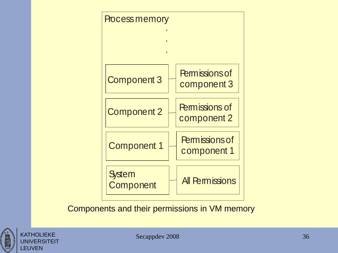

Components and their permissions in VM memory



KATHOLIEKE **UNIVERSITEIT** 

LEUVEN

Secappdev 2008 36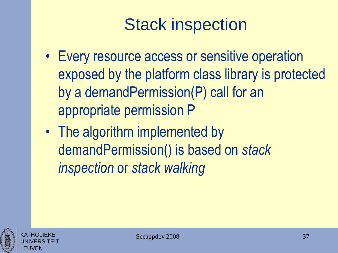# Stack inspection

- Every resource access or sensitive operation exposed by the platform class library is protected by a demandPermission(P) call for an appropriate permission P
- The algorithm implemented by demandPermission() is based on *stack inspection* or *stack walking*



KATHOLIEKE UNIVERSITEIT

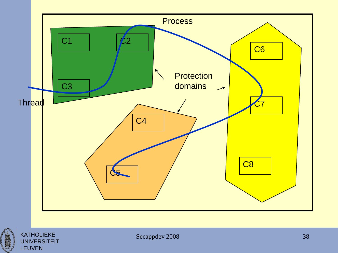

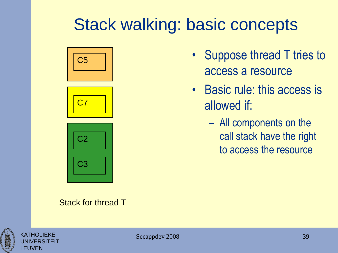#### Stack walking: basic concepts



#### Stack for thread T

- Suppose thread T tries to access a resource
- Basic rule: this access is allowed if:
	- All components on the call stack have the right to access the resource



KATHOLIEKE UNIVERSITEIT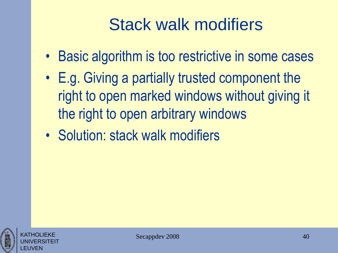# Stack walk modifiers

- Basic algorithm is too restrictive in some cases
- E.g. Giving a partially trusted component the right to open marked windows without giving it the right to open arbitrary windows
- Solution: stack walk modifiers



KATHOLIEKE UNIVERSITEIT

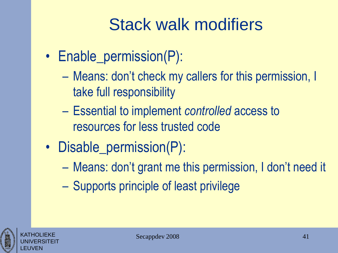# Stack walk modifiers

- Enable\_permission(P):
	- Means: don't check my callers for this permission, I take full responsibility
	- Essential to implement *controlled* access to resources for less trusted code
- Disable\_permission(P):
	- Means: don't grant me this permission, I don't need it
	- Supports principle of least privilege

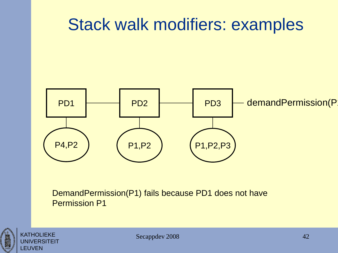#### Stack walk modifiers: examples



DemandPermission(P1) fails because PD1 does not have Permission P1



/FRSITEIT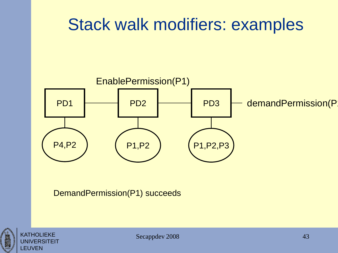# Stack walk modifiers: examples



DemandPermission(P1) succeeds

![](_page_42_Picture_3.jpeg)

![](_page_42_Picture_4.jpeg)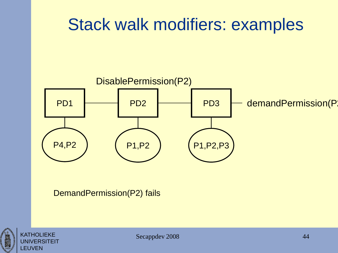# Stack walk modifiers: examples

![](_page_43_Figure_1.jpeg)

DemandPermission(P2) fails

![](_page_43_Picture_3.jpeg)

![](_page_43_Picture_4.jpeg)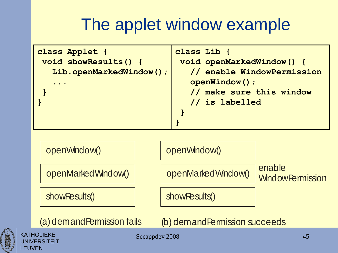## The applet window example

```
showResults()
 openMarkedWindow()
 openWindow()
                            showResults()
                            openMarkedWindow()
                            openWindow()
                                                 enable 
                                                 WindowPermission
class Applet {
void showResults() {
   Lib.openMarkedWindow();
   ...
 }
}
                              class Lib {
                               void openMarkedWindow() {
                                  // enable WindowPermission
                                  openWindow();
                                  // make sure this window
                                  // is labelled
                               }
                              }
```
![](_page_44_Picture_2.jpeg)

**KATHOLIEKE JNIVERSITEIT** 

LEUVEN

(a) demandPermission fails (b) demandPermission succeeds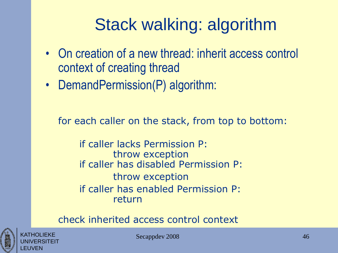# Stack walking: algorithm

- On creation of a new thread: inherit access control context of creating thread
- DemandPermission(P) algorithm:

for each caller on the stack, from top to bottom:

if caller lacks Permission P: throw exception if caller has disabled Permission P: throw exception if caller has enabled Permission P: return

check inherited access control context

![](_page_45_Picture_6.jpeg)

KATHOLIEKE UNIVERSITEIT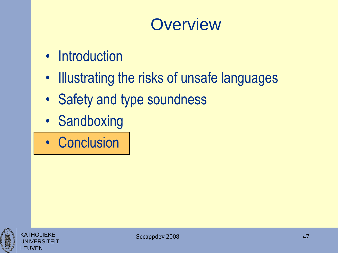#### **Overview**

- Introduction
- Illustrating the risks of unsafe languages
- Safety and type soundness
- Sandboxing
- Conclusion

![](_page_46_Picture_6.jpeg)